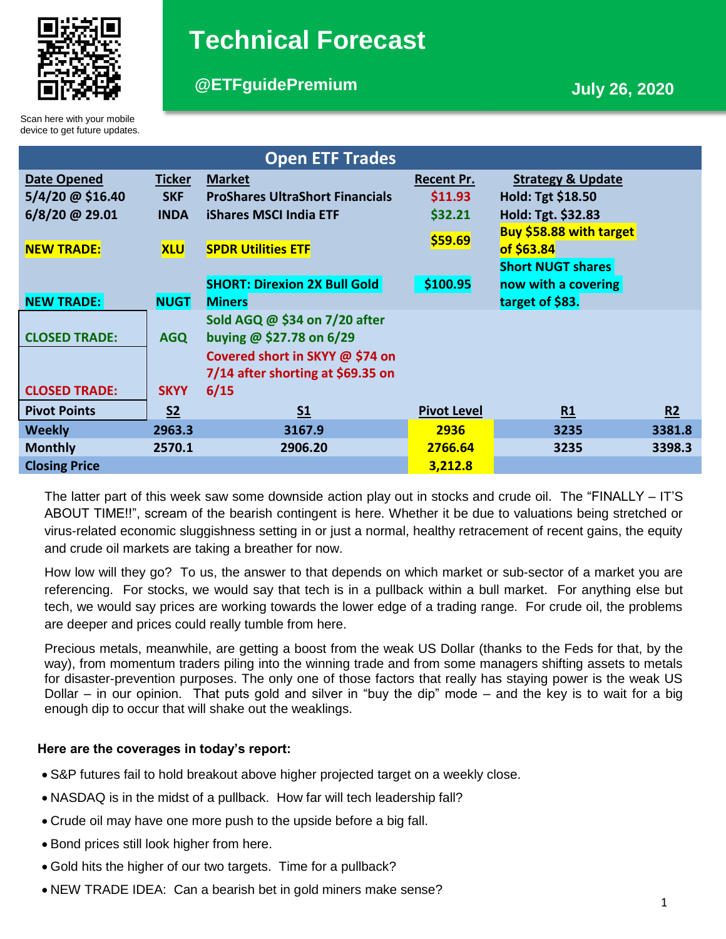

# **Technical Forecast**

# **@ETFguidePremium July 26, 2020**

Scan here with your mobile device to get future updates.

| <b>Open ETF Trades</b> |                |                                        |                    |                              |        |
|------------------------|----------------|----------------------------------------|--------------------|------------------------------|--------|
| <b>Date Opened</b>     | <b>Ticker</b>  | <b>Market</b>                          | <b>Recent Pr.</b>  | <b>Strategy &amp; Update</b> |        |
| $5/4/20$ @ \$16.40     | <b>SKF</b>     | <b>ProShares UltraShort Financials</b> | \$11.93            | Hold: Tgt \$18.50            |        |
| $6/8/20$ @ 29.01       | <b>INDA</b>    | <b>iShares MSCI India ETF</b>          | \$32.21            | Hold: Tgt. \$32.83           |        |
|                        |                |                                        | \$59.69            | Buy \$58.88 with target      |        |
| <b>NEW TRADE:</b>      | <b>XLU</b>     | <b>SPDR Utilities ETF</b>              |                    | of \$63.84                   |        |
|                        |                |                                        |                    | <b>Short NUGT shares</b>     |        |
|                        |                | <b>SHORT: Direxion 2X Bull Gold</b>    | \$100.95           | now with a covering          |        |
| <b>NEW TRADE:</b>      | <b>NUGT</b>    | <b>Miners</b>                          |                    | target of \$83.              |        |
|                        |                | Sold AGQ @ \$34 on 7/20 after          |                    |                              |        |
| <b>CLOSED TRADE:</b>   | <b>AGQ</b>     | buying @ \$27.78 on 6/29               |                    |                              |        |
|                        |                | Covered short in SKYY @ \$74 on        |                    |                              |        |
|                        |                | 7/14 after shorting at \$69.35 on      |                    |                              |        |
| <b>CLOSED TRADE:</b>   | <b>SKYY</b>    | 6/15                                   |                    |                              |        |
| <b>Pivot Points</b>    | S <sub>2</sub> | S <sub>1</sub>                         | <b>Pivot Level</b> | R1                           | R2     |
| <b>Weekly</b>          | 2963.3         | 3167.9                                 | 2936               | 3235                         | 3381.8 |
| <b>Monthly</b>         | 2570.1         | 2906.20                                | 2766.64            | 3235                         | 3398.3 |
| <b>Closing Price</b>   |                |                                        | 3,212.8            |                              |        |

The latter part of this week saw some downside action play out in stocks and crude oil. The "FINALLY – IT'S ABOUT TIME!!", scream of the bearish contingent is here. Whether it be due to valuations being stretched or virus-related economic sluggishness setting in or just a normal, healthy retracement of recent gains, the equity and crude oil markets are taking a breather for now.

How low will they go? To us, the answer to that depends on which market or sub-sector of a market you are referencing. For stocks, we would say that tech is in a pullback within a bull market. For anything else but tech, we would say prices are working towards the lower edge of a trading range. For crude oil, the problems are deeper and prices could really tumble from here.

Precious metals, meanwhile, are getting a boost from the weak US Dollar (thanks to the Feds for that, by the way), from momentum traders piling into the winning trade and from some managers shifting assets to metals for disaster-prevention purposes. The only one of those factors that really has staying power is the weak US Dollar – in our opinion. That puts gold and silver in "buy the dip" mode – and the key is to wait for a big enough dip to occur that will shake out the weaklings.

# **Here are the coverages in today's report:**

- S&P futures fail to hold breakout above higher projected target on a weekly close.
- NASDAQ is in the midst of a pullback. How far will tech leadership fall?
- Crude oil may have one more push to the upside before a big fall.
- Bond prices still look higher from here.
- Gold hits the higher of our two targets. Time for a pullback?
- NEW TRADE IDEA: Can a bearish bet in gold miners make sense?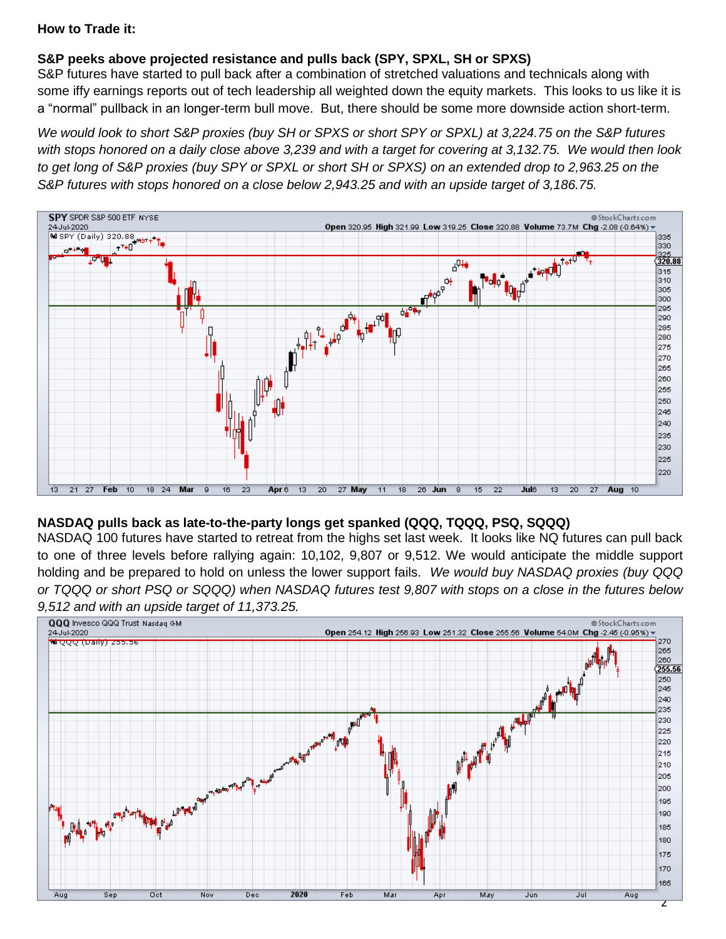### **How to Trade it:**

# **S&P peeks above projected resistance and pulls back (SPY, SPXL, SH or SPXS)**

S&P futures have started to pull back after a combination of stretched valuations and technicals along with some iffy earnings reports out of tech leadership all weighted down the equity markets. This looks to us like it is a "normal" pullback in an longer-term bull move. But, there should be some more downside action short-term.

*We would look to short S&P proxies (buy SH or SPXS or short SPY or SPXL) at 3,224.75 on the S&P futures with stops honored on a daily close above 3,239 and with a target for covering at 3,132.75. We would then look to get long of S&P proxies (buy SPY or SPXL or short SH or SPXS) on an extended drop to 2,963.25 on the S&P futures with stops honored on a close below 2,943.25 and with an upside target of 3,186.75.* 



### **NASDAQ pulls back as late-to-the-party longs get spanked (QQQ, TQQQ, PSQ, SQQQ)**

NASDAQ 100 futures have started to retreat from the highs set last week. It looks like NQ futures can pull back to one of three levels before rallying again: 10,102, 9,807 or 9,512. We would anticipate the middle support holding and be prepared to hold on unless the lower support fails. *We would buy NASDAQ proxies (buy QQQ or TQQQ or short PSQ or SQQQ) when NASDAQ futures test 9,807 with stops on a close in the futures below 9,512 and with an upside target of 11,373.25.*

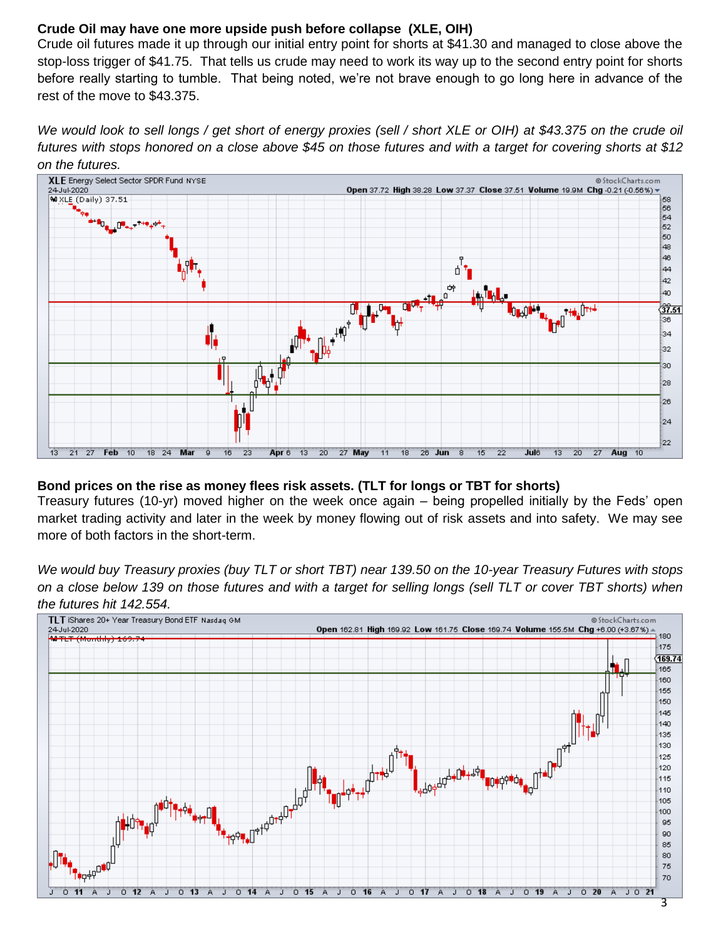## **Crude Oil may have one more upside push before collapse (XLE, OIH)**

Crude oil futures made it up through our initial entry point for shorts at \$41.30 and managed to close above the stop-loss trigger of \$41.75. That tells us crude may need to work its way up to the second entry point for shorts before really starting to tumble. That being noted, we're not brave enough to go long here in advance of the rest of the move to \$43.375.

*We would look to sell longs / get short of energy proxies (sell / short XLE or OIH) at \$43.375 on the crude oil futures with stops honored on a close above \$45 on those futures and with a target for covering shorts at \$12 on the futures.* 



### **Bond prices on the rise as money flees risk assets. (TLT for longs or TBT for shorts)**

Treasury futures (10-yr) moved higher on the week once again – being propelled initially by the Feds' open market trading activity and later in the week by money flowing out of risk assets and into safety. We may see more of both factors in the short-term.

*We would buy Treasury proxies (buy TLT or short TBT) near 139.50 on the 10-year Treasury Futures with stops on a close below 139 on those futures and with a target for selling longs (sell TLT or cover TBT shorts) when the futures hit 142.554.*

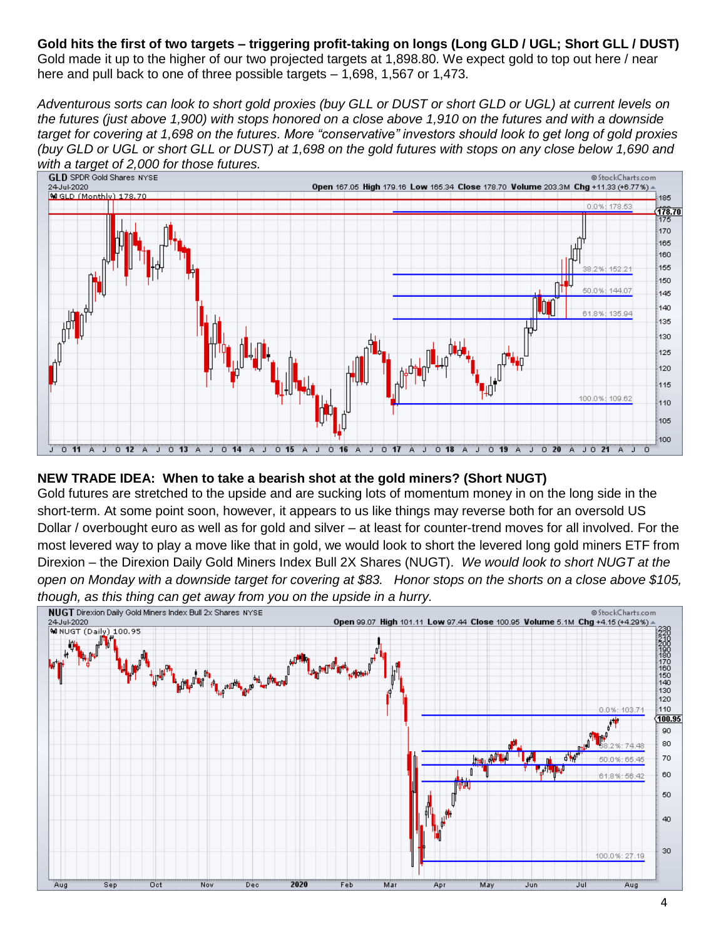**Gold hits the first of two targets – triggering profit-taking on longs (Long GLD / UGL; Short GLL / DUST)** Gold made it up to the higher of our two projected targets at 1,898.80. We expect gold to top out here / near here and pull back to one of three possible targets – 1,698, 1,567 or 1,473.

*Adventurous sorts can look to short gold proxies (buy GLL or DUST or short GLD or UGL) at current levels on the futures (just above 1,900) with stops honored on a close above 1,910 on the futures and with a downside target for covering at 1,698 on the futures. More "conservative" investors should look to get long of gold proxies (buy GLD or UGL or short GLL or DUST) at 1,698 on the gold futures with stops on any close below 1,690 and with a target of 2,000 for those futures.* 



### **NEW TRADE IDEA: When to take a bearish shot at the gold miners? (Short NUGT)**

Gold futures are stretched to the upside and are sucking lots of momentum money in on the long side in the short-term. At some point soon, however, it appears to us like things may reverse both for an oversold US Dollar / overbought euro as well as for gold and silver – at least for counter-trend moves for all involved. For the most levered way to play a move like that in gold, we would look to short the levered long gold miners ETF from Direxion – the Direxion Daily Gold Miners Index Bull 2X Shares (NUGT). *We would look to short NUGT at the open on Monday with a downside target for covering at \$83. Honor stops on the shorts on a close above \$105, though, as this thing can get away from you on the upside in a hurry.*